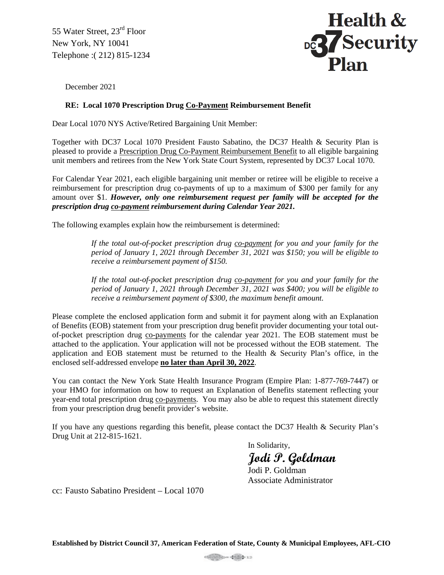55 Water Street, 23<sup>rd</sup> Floor New York, NY 10041 Telephone :( 212) 815-1234



December 2021

## **RE: Local 1070 Prescription Drug Co-Payment Reimbursement Benefit**

Dear Local 1070 NYS Active/Retired Bargaining Unit Member:

Together with DC37 Local 1070 President Fausto Sabatino, the DC37 Health & Security Plan is pleased to provide a Prescription Drug Co-Payment Reimbursement Benefit to all eligible bargaining unit members and retirees from the New York State Court System, represented by DC37 Local 1070.

For Calendar Year 2021, each eligible bargaining unit member or retiree will be eligible to receive a reimbursement for prescription drug co-payments of up to a maximum of \$300 per family for any amount over \$1. *However, only one reimbursement request per family will be accepted for the prescription drug co-payment reimbursement during Calendar Year 2021.*

The following examples explain how the reimbursement is determined:

*If the total out-of-pocket prescription drug co-payment for you and your family for the period of January 1, 2021 through December 31, 2021 was \$150; you will be eligible to receive a reimbursement payment of \$150.*

*If the total out-of-pocket prescription drug co-payment for you and your family for the period of January 1, 2021 through December 31, 2021 was \$400; you will be eligible to receive a reimbursement payment of \$300, the maximum benefit amount.*

Please complete the enclosed application form and submit it for payment along with an Explanation of Benefits (EOB) statement from your prescription drug benefit provider documenting your total outof-pocket prescription drug co-payments for the calendar year 2021. The EOB statement must be attached to the application. Your application will not be processed without the EOB statement. The application and EOB statement must be returned to the Health  $\&$  Security Plan's office, in the enclosed self-addressed envelope **no later than April 30, 2022**.

You can contact the New York State Health Insurance Program (Empire Plan: 1-877-769-7447) or your HMO for information on how to request an Explanation of Benefits statement reflecting your year-end total prescription drug co-payments. You may also be able to request this statement directly from your prescription drug benefit provider's website.

If you have any questions regarding this benefit, please contact the DC37 Health & Security Plan's Drug Unit at 212-815-1621.

In Solidarity,

**Jodi P. Goldman**

Jodi P. Goldman Associate Administrator

cc: Fausto Sabatino President – Local 1070